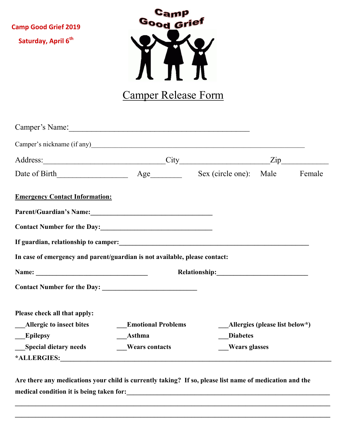**Camp Good Grief 2019 Saturday, April 6th**



## Camper Release Form

| Camper's Name: 2008. [2016] Camper's Name:                                                                                                                                                                                     |                               |                      |                                |        |
|--------------------------------------------------------------------------------------------------------------------------------------------------------------------------------------------------------------------------------|-------------------------------|----------------------|--------------------------------|--------|
|                                                                                                                                                                                                                                |                               |                      |                                |        |
|                                                                                                                                                                                                                                | Address: <u>City City Zip</u> |                      |                                |        |
|                                                                                                                                                                                                                                |                               |                      |                                | Female |
| <b>Emergency Contact Information:</b>                                                                                                                                                                                          |                               |                      |                                |        |
| Parent/Guardian's Name:<br><u>Darent/Guardian's Name:</u>                                                                                                                                                                      |                               |                      |                                |        |
| Contact Number for the Day:<br><u>Contact Number for the Day:</u>                                                                                                                                                              |                               |                      |                                |        |
|                                                                                                                                                                                                                                |                               |                      |                                |        |
| In case of emergency and parent/guardian is not available, please contact:                                                                                                                                                     |                               |                      |                                |        |
|                                                                                                                                                                                                                                |                               |                      |                                |        |
|                                                                                                                                                                                                                                |                               |                      |                                |        |
| Please check all that apply:                                                                                                                                                                                                   |                               |                      |                                |        |
| <b>Allergic to insect bites</b>                                                                                                                                                                                                | <b>Emotional Problems</b>     |                      | Allergies (please list below*) |        |
| <b>Epilepsy</b>                                                                                                                                                                                                                | <b>Asthma</b>                 | <b>Diabetes</b>      |                                |        |
| <b>Special dietary needs</b>                                                                                                                                                                                                   | <b>Wears contacts</b>         | <b>Wears glasses</b> |                                |        |
| *ALLERGIES: The Contract of the Contract of the Contract of the Contract of the Contract of the Contract of the Contract of the Contract of the Contract of the Contract of the Contract of the Contract of the Contract of th |                               |                      |                                |        |

**Are there any medications your child is currently taking? If so, please list name of medication and the medical condition it is being taken for:\_\_\_\_\_\_\_\_\_\_\_\_\_\_\_\_\_\_\_\_\_\_\_\_\_\_\_\_\_\_\_\_\_\_\_\_\_\_\_\_\_\_\_\_\_\_\_\_\_\_\_\_\_\_\_\_\_\_\_\_**

**\_\_\_\_\_\_\_\_\_\_\_\_\_\_\_\_\_\_\_\_\_\_\_\_\_\_\_\_\_\_\_\_\_\_\_\_\_\_\_\_\_\_\_\_\_\_\_\_\_\_\_\_\_\_\_\_\_\_\_\_\_\_\_\_\_\_\_\_\_\_\_\_\_\_\_\_\_\_\_\_\_\_\_\_\_\_\_\_\_\_\_\_\_ \_\_\_\_\_\_\_\_\_\_\_\_\_\_\_\_\_\_\_\_\_\_\_\_\_\_\_\_\_\_\_\_\_\_\_\_\_\_\_\_\_\_\_\_\_\_\_\_\_\_\_\_\_\_\_\_\_\_\_\_\_\_\_\_\_\_\_\_\_\_\_\_\_\_\_\_\_\_\_\_\_\_\_\_\_\_\_\_\_\_\_\_\_**